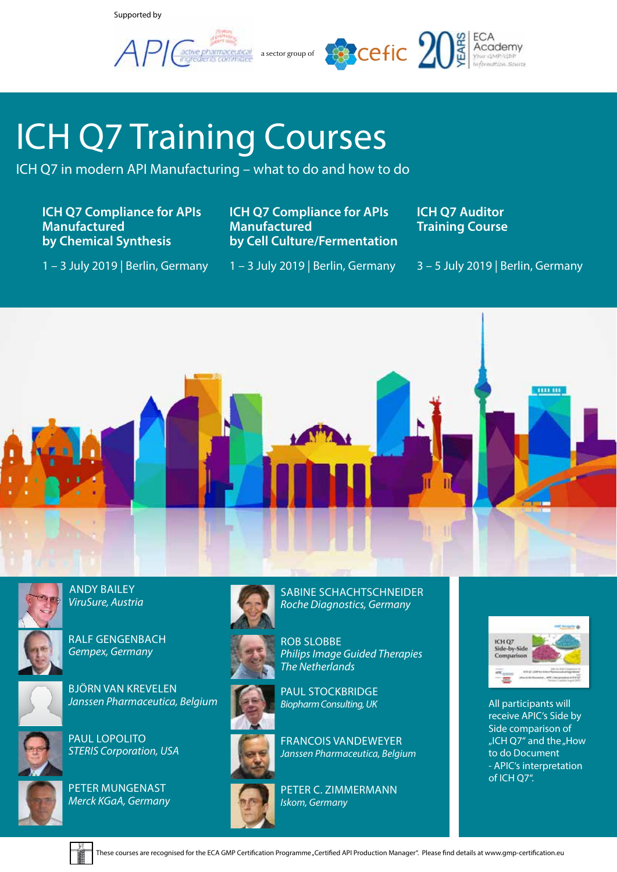Supported by

 $API$ 



# ICH Q7 Training Courses

ICH Q7 in modern API Manufacturing – what to do and how to do

**ICH Q7 Compliance for APIs Manufactured by Chemical Synthesis**

**ICH Q7 Compliance for APIs Manufactured by Cell Culture/Fermentation** **ICH Q7 Auditor Training Course**

1 – 3 July 2019 | Berlin, Germany

1 – 3 July 2019 | Berlin, Germany

3 – 5 July 2019 | Berlin, Germany





 ANDY BAILEY *ViruSure, Austria*



RALF GENGENBACH *Gempex, Germany*



BJÖRN VAN KREVELEN *Janssen Pharmaceutica, Belgium*



PAUL LOPOLITO *STERIS Corporation, USA*



PETER MUNGENAST *Merck KGaA, Germany*









PAUL STOCKBRIDGE *Biopharm Consulting, UK*

FRANCOIS VANDEWEYER *Janssen Pharmaceutica, Belgium*

SABINE SCHACHTSCHNEIDER *Roche Diagnostics, Germany* 





All participants will receive APIC's Side by Side comparison of "ICH Q7" and the "How to do Document - APIC's interpretation of ICH Q7".

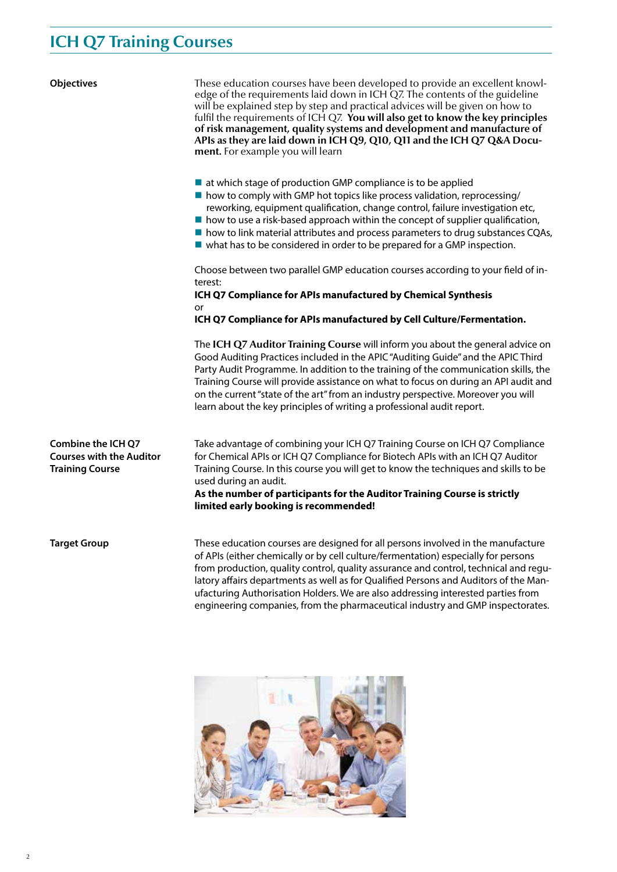## **ICH Q7 Training Courses**

| <b>Objectives</b>                                                                      | These education courses have been developed to provide an excellent knowl-<br>edge of the requirements laid down in ICH Q7. The contents of the guideline<br>will be explained step by step and practical advices will be given on how to<br>fulfil the requirements of ICH Q7. You will also get to know the key principles<br>of risk management, quality systems and development and manufacture of<br>APIs as they are laid down in ICH Q9, Q10, Q11 and the ICH Q7 Q&A Docu-<br><b>ment.</b> For example you will learn |  |  |  |
|----------------------------------------------------------------------------------------|------------------------------------------------------------------------------------------------------------------------------------------------------------------------------------------------------------------------------------------------------------------------------------------------------------------------------------------------------------------------------------------------------------------------------------------------------------------------------------------------------------------------------|--|--|--|
|                                                                                        | $\blacksquare$ at which stage of production GMP compliance is to be applied<br>In how to comply with GMP hot topics like process validation, reprocessing/<br>reworking, equipment qualification, change control, failure investigation etc,<br>$\blacksquare$ how to use a risk-based approach within the concept of supplier qualification,<br>■ how to link material attributes and process parameters to drug substances CQAs,<br>$\blacksquare$ what has to be considered in order to be prepared for a GMP inspection. |  |  |  |
|                                                                                        | Choose between two parallel GMP education courses according to your field of in-<br>terest:<br>ICH Q7 Compliance for APIs manufactured by Chemical Synthesis                                                                                                                                                                                                                                                                                                                                                                 |  |  |  |
|                                                                                        | or<br>ICH Q7 Compliance for APIs manufactured by Cell Culture/Fermentation.                                                                                                                                                                                                                                                                                                                                                                                                                                                  |  |  |  |
|                                                                                        | The ICH Q7 Auditor Training Course will inform you about the general advice on<br>Good Auditing Practices included in the APIC "Auditing Guide" and the APIC Third<br>Party Audit Programme. In addition to the training of the communication skills, the<br>Training Course will provide assistance on what to focus on during an API audit and<br>on the current "state of the art" from an industry perspective. Moreover you will<br>learn about the key principles of writing a professional audit report.              |  |  |  |
| <b>Combine the ICH Q7</b><br><b>Courses with the Auditor</b><br><b>Training Course</b> | Take advantage of combining your ICH Q7 Training Course on ICH Q7 Compliance<br>for Chemical APIs or ICH Q7 Compliance for Biotech APIs with an ICH Q7 Auditor<br>Training Course. In this course you will get to know the techniques and skills to be<br>used during an audit.<br>As the number of participants for the Auditor Training Course is strictly<br>limited early booking is recommended!                                                                                                                        |  |  |  |
| <b>Target Group</b>                                                                    | These education courses are designed for all persons involved in the manufacture<br>of APIs (either chemically or by cell culture/fermentation) especially for persons<br>from production, quality control, quality assurance and control, technical and regu-<br>latory affairs departments as well as for Qualified Persons and Auditors of the Man-<br>ufacturing Authorisation Holders. We are also addressing interested parties from<br>engineering companies, from the pharmaceutical industry and GMP inspectorates. |  |  |  |

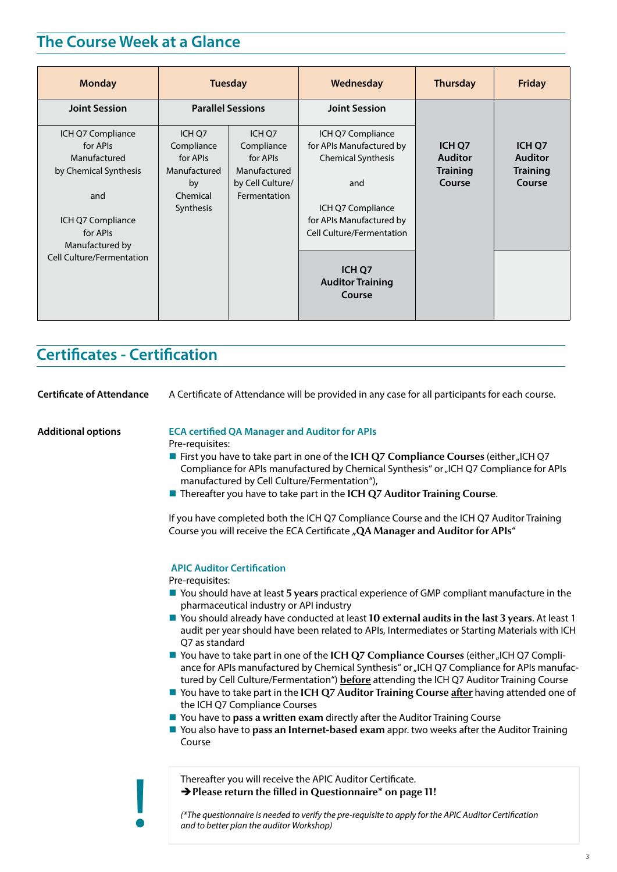## **The Course Week at a Glance**

| <b>Monday</b>                                                          | <b>Tuesday</b>                                   |                                                  | Wednesday                                                                         | <b>Thursday</b>                             | <b>Friday</b>                               |
|------------------------------------------------------------------------|--------------------------------------------------|--------------------------------------------------|-----------------------------------------------------------------------------------|---------------------------------------------|---------------------------------------------|
| <b>Joint Session</b>                                                   | <b>Parallel Sessions</b>                         |                                                  | <b>Joint Session</b>                                                              |                                             |                                             |
| ICH Q7 Compliance<br>for APIs<br>Manufactured<br>by Chemical Synthesis | ICH O7<br>Compliance<br>for APIs<br>Manufactured | ICH O7<br>Compliance<br>for APIs<br>Manufactured | ICH Q7 Compliance<br>for APIs Manufactured by<br><b>Chemical Synthesis</b>        | ICH Q7<br><b>Auditor</b><br><b>Training</b> | ICH Q7<br><b>Auditor</b><br><b>Training</b> |
| and<br>ICH Q7 Compliance<br>for APIs                                   | by<br>Chemical<br>Synthesis                      | by Cell Culture/<br>Fermentation                 | and<br>ICH Q7 Compliance<br>for APIs Manufactured by<br>Cell Culture/Fermentation | Course                                      | Course                                      |
| Manufactured by<br><b>Cell Culture/Fermentation</b>                    |                                                  |                                                  | ICH Q7<br><b>Auditor Training</b><br>Course                                       |                                             |                                             |

## **Certificates - Certification**

| <b>Certificate of Attendance</b> | A Certificate of Attendance will be provided in any case for all participants for each course.                                                                                                                                                                                   |
|----------------------------------|----------------------------------------------------------------------------------------------------------------------------------------------------------------------------------------------------------------------------------------------------------------------------------|
| <b>Additional options</b>        | <b>ECA certified QA Manager and Auditor for APIs</b><br>Pre-requisites:                                                                                                                                                                                                          |
|                                  | ■ First you have to take part in one of the ICH Q7 Compliance Courses (either "ICH Q7<br>Compliance for APIs manufactured by Chemical Synthesis" or "ICH Q7 Compliance for APIs<br>manufactured by Cell Culture/Fermentation"),                                                  |
|                                  | ■ Thereafter you have to take part in the ICH Q7 Auditor Training Course.                                                                                                                                                                                                        |
|                                  | If you have completed both the ICH Q7 Compliance Course and the ICH Q7 Auditor Training<br>Course you will receive the ECA Certificate "QA Manager and Auditor for APIs"                                                                                                         |
|                                  | <b>APIC Auditor Certification</b>                                                                                                                                                                                                                                                |
|                                  | Pre-requisites:<br>■ You should have at least 5 years practical experience of GMP compliant manufacture in the<br>pharmaceutical industry or API industry                                                                                                                        |
|                                  | ■ You should already have conducted at least 10 external audits in the last 3 years. At least 1<br>audit per year should have been related to APIs, Intermediates or Starting Materials with ICH<br>Q7 as standard                                                               |
|                                  | ■ You have to take part in one of the ICH Q7 Compliance Courses (either "ICH Q7 Compli-<br>ance for APIs manufactured by Chemical Synthesis" or "ICH Q7 Compliance for APIs manufac-<br>tured by Cell Culture/Fermentation") before attending the ICH Q7 Auditor Training Course |
|                                  | ■ You have to take part in the ICH Q7 Auditor Training Course after having attended one of<br>the ICH Q7 Compliance Courses                                                                                                                                                      |
|                                  | ■ You have to pass a written exam directly after the Auditor Training Course<br>■ You also have to pass an Internet-based exam appr. two weeks after the Auditor Training<br>Course                                                                                              |
|                                  | Thereafter you will receive the APIC Auditor Certificate.<br>→ Please return the filled in Questionnaire* on page 11!                                                                                                                                                            |
|                                  | (*The questionnaire is needed to verify the pre-requisite to apply for the APIC Auditor Certification<br>and to better plan the auditor Workshop)                                                                                                                                |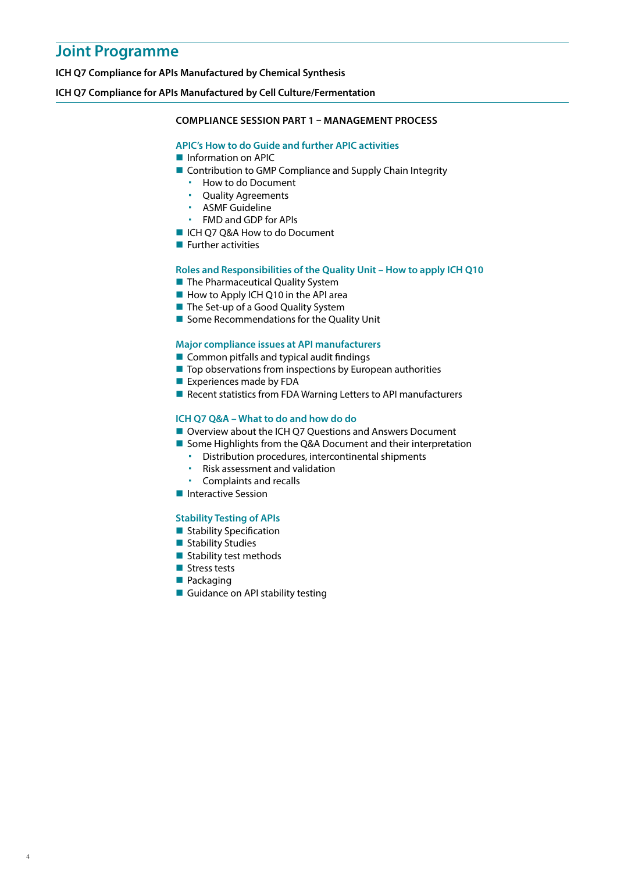## **Joint Programme**

**ICH Q7 Compliance for APIs Manufactured by Chemical Synthesis**

#### **ICH Q7 Compliance for APIs Manufactured by Cell Culture/Fermentation**

#### **COMPLIANCE SESSION PART 1 – MANAGEMENT PROCESS**

#### **APIC's How to do Guide and further APIC activities**

- **Information on APIC**
- Contribution to GMP Compliance and Supply Chain Integrity
	- **How to do Document**
	- Quality Agreements
	- ASMF Guideline
	- FMD and GDP for APIs
- ICH Q7 Q&A How to do Document
- $\blacksquare$  Further activities

#### **Roles and Responsibilities of the Quality Unit – How to apply ICH Q10**

- The Pharmaceutical Quality System
- How to Apply ICH Q10 in the API area
- The Set-up of a Good Quality System
- Some Recommendations for the Quality Unit

#### **Major compliance issues at API manufacturers**

- Common pitfalls and typical audit findings
- $\blacksquare$  Top observations from inspections by European authorities
- **Experiences made by FDA**
- Recent statistics from FDA Warning Letters to API manufacturers

#### **ICH Q7 Q&A – What to do and how do do**

- Overview about the ICH Q7 Questions and Answers Document
- Some Highlights from the Q&A Document and their interpretation
	- Distribution procedures, intercontinental shipments
	- Risk assessment and validation
	- Complaints and recalls
- **Interactive Session**

#### **Stability Testing of APIs**

- **Stability Specification**
- Stability Studies
- $\blacksquare$  Stability test methods
- **Stress tests**
- **Packaging**

4

Guidance on API stability testing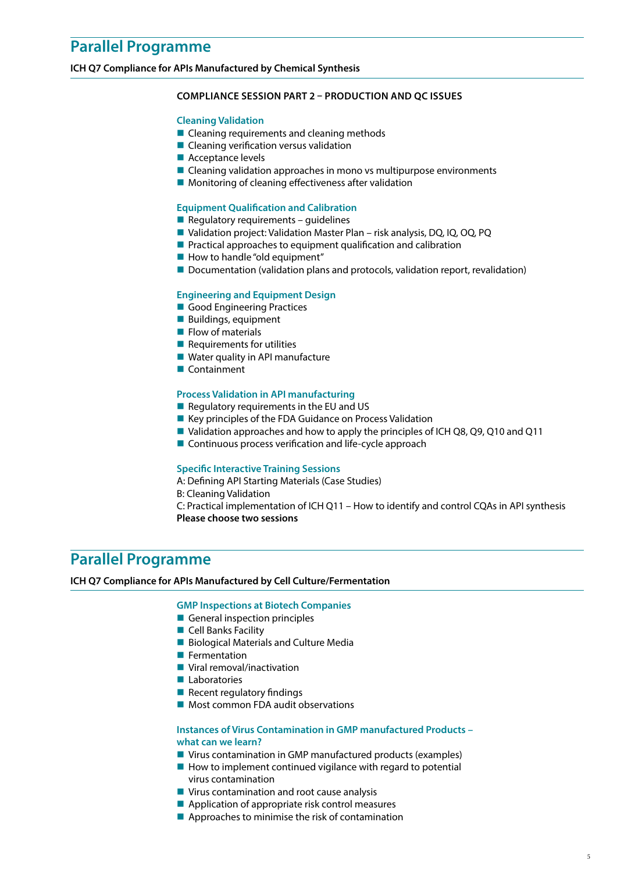**ICH Q7 Compliance for APIs Manufactured by Chemical Synthesis**

#### **COMPLIANCE SESSION PART 2 – PRODUCTION AND QC ISSUES**

#### **Cleaning Validation**

- Cleaning requirements and cleaning methods
- **Cleaning verification versus validation**
- Acceptance levels
- Cleaning validation approaches in mono vs multipurpose environments
- $\blacksquare$  Monitoring of cleaning effectiveness after validation

#### **Equipment Qualification and Calibration**

- $\blacksquare$  Regulatory requirements guidelines
- Validation project: Validation Master Plan risk analysis, DQ, IQ, OQ, PQ
- **Practical approaches to equipment qualification and calibration**
- $\blacksquare$  How to handle "old equipment"
- Documentation (validation plans and protocols, validation report, revalidation)

#### **Engineering and Equipment Design**

- Good Engineering Practices
- Buildings, equipment
- $\blacksquare$  Flow of materials
- $\blacksquare$  Requirements for utilities
- Water quality in API manufacture
- Containment

#### **Process Validation in API manufacturing**

- $\blacksquare$  Regulatory requirements in the EU and US
- $\blacksquare$  Key principles of the FDA Guidance on Process Validation
- Validation approaches and how to apply the principles of ICH Q8, Q9, Q10 and Q11
- **Continuous process verification and life-cycle approach**

#### **Specific Interactive Training Sessions**

A: Defining API Starting Materials (Case Studies)

- B: Cleaning Validation
- C: Practical implementation of ICH Q11 How to identify and control CQAs in API synthesis **Please choose two sessions**

### **Parallel Programme**

#### **ICH Q7 Compliance for APIs Manufactured by Cell Culture/Fermentation**

#### **GMP Inspections at Biotech Companies**

- General inspection principles
- Cell Banks Facility
- **Biological Materials and Culture Media**
- **Fermentation**
- **Viral removal/inactivation**
- **Laboratories**
- $\blacksquare$  Recent regulatory findings
- Most common FDA audit observations

#### **Instances of Virus Contamination in GMP manufactured Products – what can we learn?**

- Virus contamination in GMP manufactured products (examples)
- $\blacksquare$  How to implement continued vigilance with regard to potential virus contamination
- **Virus contamination and root cause analysis**
- Application of appropriate risk control measures
- **Approaches to minimise the risk of contamination**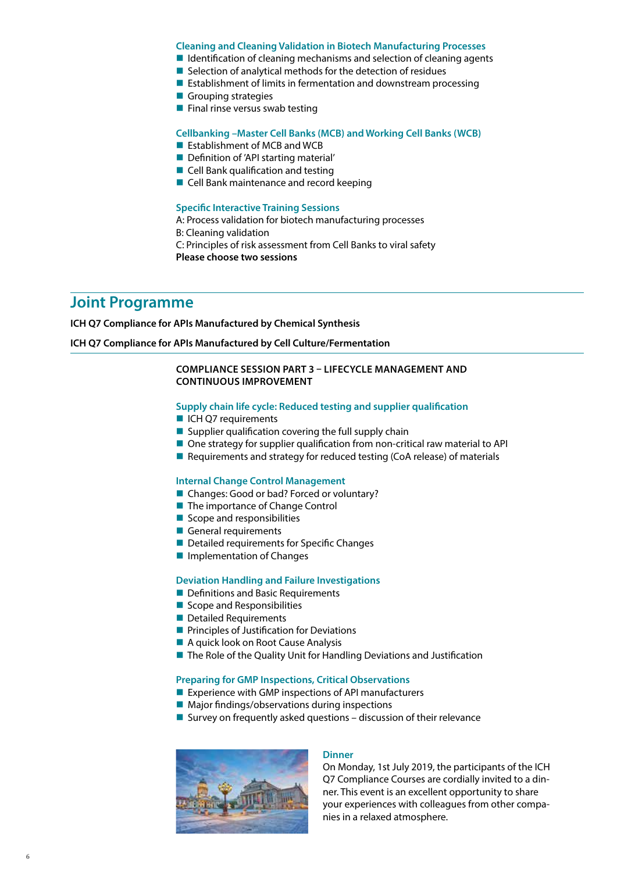#### **Cleaning and Cleaning Validation in Biotech Manufacturing Processes**

- $\blacksquare$  Identification of cleaning mechanisms and selection of cleaning agents
- $\blacksquare$  Selection of analytical methods for the detection of residues
- $\blacksquare$  Establishment of limits in fermentation and downstream processing
- Grouping strategies
- $\blacksquare$  Final rinse versus swab testing

#### **Cellbanking –Master Cell Banks (MCB) and Working Cell Banks (WCB)**

- **Extablishment of MCB and WCB**
- Definition of 'API starting material'
- Cell Bank qualification and testing
- Cell Bank maintenance and record keeping

#### **Specific Interactive Training Sessions**

- A: Process validation for biotech manufacturing processes
- B: Cleaning validation
- C: Principles of risk assessment from Cell Banks to viral safety
- **Please choose two sessions**

### **Joint Programme**

**ICH Q7 Compliance for APIs Manufactured by Chemical Synthesis**

#### **ICH Q7 Compliance for APIs Manufactured by Cell Culture/Fermentation**

#### **COMPLIANCE SESSION PART 3 – LIFECYCLE MANAGEMENT AND CONTINUOUS IMPROVEMENT**

#### **Supply chain life cycle: Reduced testing and supplier qualification**

- ICH Q7 requirements
- Supplier qualification covering the full supply chain
- One strategy for supplier qualification from non-critical raw material to API
- Requirements and strategy for reduced testing (CoA release) of materials

#### **Internal Change Control Management**

- Changes: Good or bad? Forced or voluntary?
- The importance of Change Control
- $\blacksquare$  Scope and responsibilities
- General requirements
- Detailed requirements for Specific Changes
- **Implementation of Changes**

#### **Deviation Handling and Failure Investigations**

- Definitions and Basic Requirements
- Scope and Responsibilities
- Detailed Requirements
- **Principles of Justification for Deviations**
- A quick look on Root Cause Analysis
- The Role of the Quality Unit for Handling Deviations and Justification

#### **Preparing for GMP Inspections, Critical Observations**

- Experience with GMP inspections of API manufacturers
- Major findings/observations during inspections
- Survey on frequently asked questions  $-$  discussion of their relevance



#### **Dinner**

On Monday, 1st July 2019, the participants of the ICH Q7 Compliance Courses are cordially invited to a dinner. This event is an excellent opportunity to share your experiences with colleagues from other companies in a relaxed atmosphere.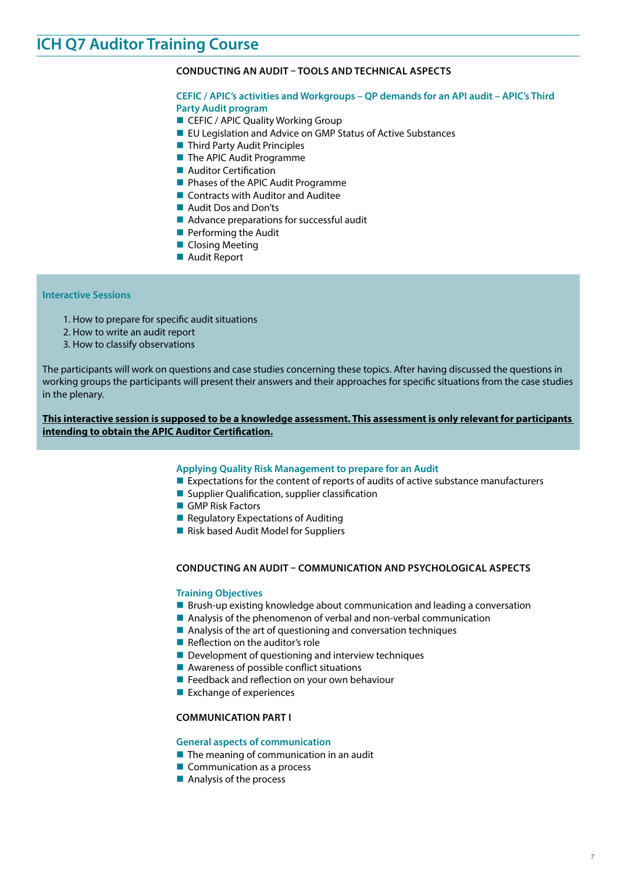## **ICH Q7 Auditor Training Course**

#### **CONDUCTING AN AUDIT – TOOLS AND TECHNICAL ASPECTS**

#### **CEFIC / APIC's activities and Workgroups – QP demands for an API audit – APIC's Third Party Audit program**

- CEFIC / APIC Quality Working Group
- EU Legislation and Advice on GMP Status of Active Substances
- Third Party Audit Principles
- The APIC Audit Programme
- **Auditor Certification**
- **Phases of the APIC Audit Programme**
- Contracts with Auditor and Auditee
- **Audit Dos and Don'ts**
- Advance preparations for successful audit
- **Performing the Audit**
- **Closing Meeting**
- Audit Report

#### **Interactive Sessions**

- 1. How to prepare for specific audit situations
- 2. How to write an audit report
- 3. How to classify observations

The participants will work on questions and case studies concerning these topics. After having discussed the questions in working groups the participants will present their answers and their approaches for specific situations from the case studies in the plenary.

**This interactive session is supposed to be a knowledge assessment. This assessment is only relevant for participants intending to obtain the APIC Auditor Certification.**

#### **Applying Quality Risk Management to prepare for an Audit**

- Expectations for the content of reports of audits of active substance manufacturers
- **Supplier Qualification, supplier classification**
- GMP Risk Factors
- $\blacksquare$  Regulatory Expectations of Auditing
- Risk based Audit Model for Suppliers

#### **CONDUCTING AN AUDIT – COMMUNICATION AND PSYCHOLOGICAL ASPECTS**

#### **Training Objectives**

- **Brush-up existing knowledge about communication and leading a conversation**
- Analysis of the phenomenon of verbal and non-verbal communication
- Analysis of the art of questioning and conversation techniques
- Reflection on the auditor's role
- Development of questioning and interview techniques
- Awareness of possible conflict situations
- **Feedback and reflection on your own behaviour**
- **Exchange of experiences**

#### **COMMUNICATION PART I**

#### **General aspects of communication**

- $\blacksquare$  The meaning of communication in an audit
- Communication as a process
- **Analysis of the process**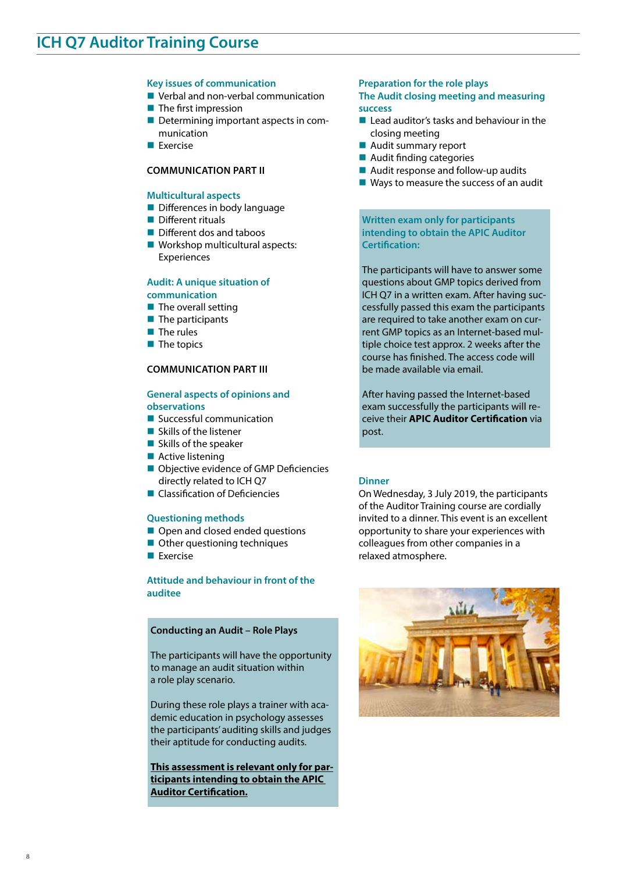## **ICH Q7 Auditor Training Course**

#### **Key issues of communication**

- **U** Verbal and non-verbal communication
- $\blacksquare$  The first impression
- Determining important aspects in communication
- **Exercise**

#### **COMMUNICATION PART II**

#### **Multicultural aspects**

- Differences in body language
- **Different rituals**
- Different dos and taboos
- Workshop multicultural aspects: Experiences

#### **Audit: A unique situation of communication**

- $\blacksquare$  The overall setting
- $\blacksquare$  The participants
- $\blacksquare$  The rules
- $\blacksquare$  The topics

#### **COMMUNICATION PART III**

#### **General aspects of opinions and observations**

- Successful communication
- $\blacksquare$  Skills of the listener
- $\blacksquare$  Skills of the speaker
- **Active listening**
- Objective evidence of GMP Deficiencies directly related to ICH Q7
- **Classification of Deficiencies**

#### **Questioning methods**

- Open and closed ended questions
- Other questioning techniques
- **Exercise**

8

#### **Attitude and behaviour in front of the auditee**

#### **Conducting an Audit – Role Plays**

The participants will have the opportunity to manage an audit situation within a role play scenario.

During these role plays a trainer with academic education in psychology assesses the participants' auditing skills and judges their aptitude for conducting audits.

**This assessment is relevant only for participants intending to obtain the APIC Auditor Certification.**

#### **Preparation for the role plays The Audit closing meeting and measuring success**

- $\blacksquare$  Lead auditor's tasks and behaviour in the closing meeting
- Audit summary report
- Audit finding categories
- Audit response and follow-up audits
- Ways to measure the success of an audit

**Written exam only for participants intending to obtain the APIC Auditor Certification:** 

The participants will have to answer some questions about GMP topics derived from ICH Q7 in a written exam. After having successfully passed this exam the participants are required to take another exam on current GMP topics as an Internet-based multiple choice test approx. 2 weeks after the course has finished. The access code will be made available via email.

After having passed the Internet-based exam successfully the participants will receive their **APIC Auditor Certification** via post.

#### **Dinner**

On Wednesday, 3 July 2019, the participants of the Auditor Training course are cordially invited to a dinner. This event is an excellent opportunity to share your experiences with colleagues from other companies in a relaxed atmosphere.

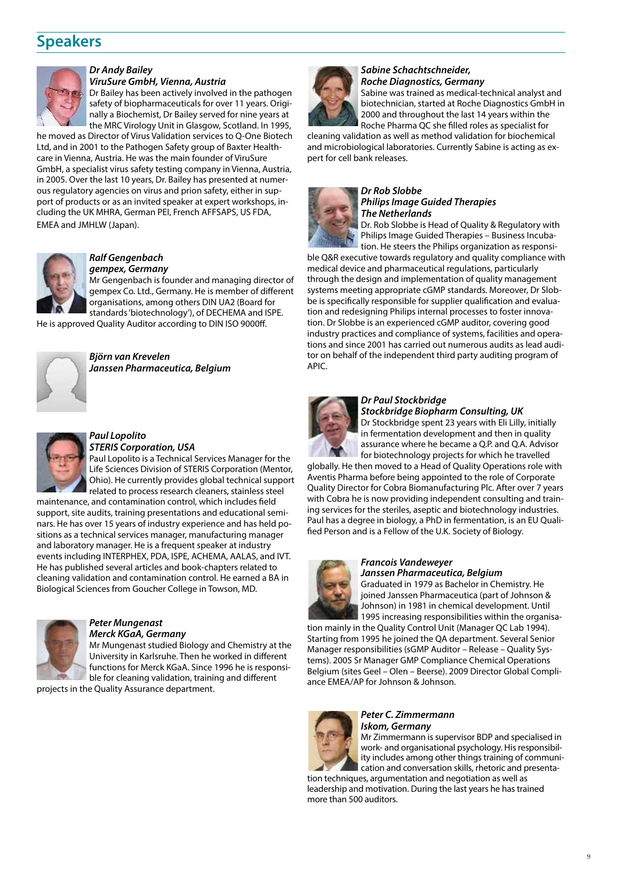## **Speakers**



#### *Dr Andy Bailey*

*ViruSure GmbH, Vienna, Austria*

Dr Bailey has been actively involved in the pathogen safety of biopharmaceuticals for over 11 years. Originally a Biochemist, Dr Bailey served for nine years at the MRC Virology Unit in Glasgow, Scotland. In 1995,

he moved as Director of Virus Validation services to Q-One Biotech Ltd, and in 2001 to the Pathogen Safety group of Baxter Healthcare in Vienna, Austria. He was the main founder of ViruSure GmbH, a specialist virus safety testing company in Vienna, Austria, in 2005. Over the last 10 years, Dr. Bailey has presented at numerous regulatory agencies on virus and prion safety, either in support of products or as an invited speaker at expert workshops, including the UK MHRA, German PEI, French AFFSAPS, US FDA, EMEA and JMHLW (Japan).



#### *Ralf Gengenbach gempex, Germany*

Mr Gengenbach is founder and managing director of gempex Co. Ltd., Germany. He is member of different organisations, among others DIN UA2 (Board for standards 'biotechnology'), of DECHEMA and ISPE.

He is approved Quality Auditor according to DIN ISO 9000ff.



*Björn van Krevelen Janssen Pharmaceutica, Belgium*



#### *Paul Lopolito STERIS Corporation, USA*

Paul Lopolito is a Technical Services Manager for the Life Sciences Division of STERIS Corporation (Mentor, Ohio). He currently provides global technical support related to process research cleaners, stainless steel

maintenance, and contamination control, which includes field support, site audits, training presentations and educational seminars. He has over 15 years of industry experience and has held positions as a technical services manager, manufacturing manager and laboratory manager. He is a frequent speaker at industry events including INTERPHEX, PDA, ISPE, ACHEMA, AALAS, and IVT. He has published several articles and book-chapters related to cleaning validation and contamination control. He earned a BA in Biological Sciences from Goucher College in Towson, MD.



### *Peter Mungenast*

*Merck KGaA, Germany* Mr Mungenast studied Biology and Chemistry at the University in Karlsruhe. Then he worked in different functions for Merck KGaA. Since 1996 he is responsible for cleaning validation, training and different

projects in the Quality Assurance department.



#### *Sabine Schachtschneider, Roche Diagnostics, Germany*

Sabine was trained as medical-technical analyst and biotechnician, started at Roche Diagnostics GmbH in 2000 and throughout the last 14 years within the Roche Pharma QC she filled roles as specialist for

cleaning validation as well as method validation for biochemical and microbiological laboratories. Currently Sabine is acting as expert for cell bank releases.



#### *Dr Rob Slobbe Philips Image Guided Therapies The Netherlands*

Dr. Rob Slobbe is Head of Quality & Regulatory with Philips Image Guided Therapies – Business Incubation. He steers the Philips organization as responsi-

ble Q&R executive towards regulatory and quality compliance with medical device and pharmaceutical regulations, particularly through the design and implementation of quality management systems meeting appropriate cGMP standards. Moreover, Dr Slobbe is specifically responsible for supplier qualification and evaluation and redesigning Philips internal processes to foster innovation. Dr Slobbe is an experienced cGMP auditor, covering good industry practices and compliance of systems, facilities and operations and since 2001 has carried out numerous audits as lead auditor on behalf of the independent third party auditing program of APIC.



#### *Dr Paul Stockbridge Stockbridge Biopharm Consulting, UK*

Dr Stockbridge spent 23 years with Eli Lilly, initially in fermentation development and then in quality assurance where he became a Q.P. and Q.A. Advisor for biotechnology projects for which he travelled

globally. He then moved to a Head of Quality Operations role with Aventis Pharma before being appointed to the role of Corporate Quality Director for Cobra Biomanufacturing Plc. After over 7 years with Cobra he is now providing independent consulting and training services for the steriles, aseptic and biotechnology industries. Paul has a degree in biology, a PhD in fermentation, is an EU Qualified Person and is a Fellow of the U.K. Society of Biology.



#### *Francois Vandeweyer Janssen Pharmaceutica, Belgium*

Graduated in 1979 as Bachelor in Chemistry. He joined Janssen Pharmaceutica (part of Johnson & Johnson) in 1981 in chemical development. Until 1995 increasing responsibilities within the organisa-

tion mainly in the Quality Control Unit (Manager QC Lab 1994). Starting from 1995 he joined the QA department. Several Senior Manager responsibilities (sGMP Auditor – Release – Quality Systems). 2005 Sr Manager GMP Compliance Chemical Operations Belgium (sites Geel – Olen – Beerse). 2009 Director Global Compliance EMEA/AP for Johnson & Johnson.



#### *Peter C. Zimmermann Iskom, Germany*

Mr Zimmermann is supervisor BDP and specialised in work- and organisational psychology. His responsibility includes among other things training of communication and conversation skills, rhetoric and presenta-

tion techniques, argumentation and negotiation as well as leadership and motivation. During the last years he has trained more than 500 auditors.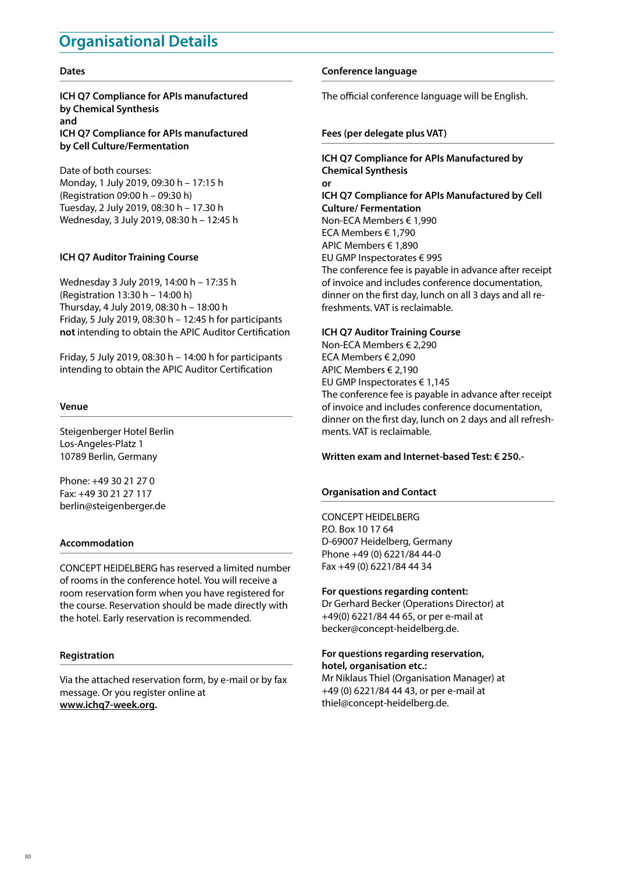## **Organisational Details**

#### **Dates**

**ICH Q7 Compliance for APIs manufactured by Chemical Synthesis and ICH Q7 Compliance for APIs manufactured by Cell Culture/Fermentation**

Date of both courses: Monday, 1 July 2019, 09:30 h – 17:15 h (Registration 09:00 h – 09:30 h) Tuesday, 2 July 2019, 08:30 h – 17.30 h Wednesday, 3 July 2019, 08:30 h – 12:45 h

#### **ICH Q7 Auditor Training Course**

Wednesday 3 July 2019, 14:00 h – 17:35 h (Registration 13:30 h – 14:00 h) Thursday, 4 July 2019, 08:30 h – 18:00 h Friday, 5 July 2019, 08:30 h – 12:45 h for participants **not** intending to obtain the APIC Auditor Certification

Friday, 5 July 2019, 08:30 h – 14:00 h for participants intending to obtain the APIC Auditor Certification

#### **Venue**

Steigenberger Hotel Berlin Los-Angeles-Platz 1 10789 Berlin, Germany

Phone: +49 30 21 27 0 Fax: +49 30 21 27 117 berlin@steigenberger.de

#### **Accommodation**

CONCEPT HEIDELBERG has reserved a limited number of rooms in the conference hotel. You will receive a room reservation form when you have registered for the course. Reservation should be made directly with the hotel. Early reservation is recommended.

#### **Registration**

Via the attached reservation form, by e-mail or by fax message. Or you register online at **www.ichq7-week.org.**

#### **Conference language**

The official conference language will be English.

#### **Fees (per delegate plus VAT)**

**ICH Q7 Compliance for APIs Manufactured by Chemical Synthesis or ICH Q7 Compliance for APIs Manufactured by Cell Culture/ Fermentation** Non-ECA Members € 1,990 ECA Members € 1,790 APIC Members € 1,890 EU GMP Inspectorates € 995 The conference fee is payable in advance after receipt of invoice and includes conference documentation, dinner on the first day, lunch on all 3 days and all refreshments. VAT is reclaimable.

#### **ICH Q7 Auditor Training Course**

Non-ECA Members € 2,290 ECA Members € 2,090 APIC Members € 2,190 EU GMP Inspectorates € 1,145 The conference fee is payable in advance after receipt of invoice and includes conference documentation, dinner on the first day, lunch on 2 days and all refreshments. VAT is reclaimable.

#### **Written exam and Internet-based Test: € 250.-**

#### **Organisation and Contact**

#### CONCEPT HEIDELBERG

P.O. Box 10 17 64 D-69007 Heidelberg, Germany Phone +49 (0) 6221/84 44-0 Fax +49 (0) 6221/84 44 34

#### **For questions regarding content:**

Dr Gerhard Becker (Operations Director) at +49(0) 6221/84 44 65, or per e-mail at becker@concept-heidelberg.de.

#### **For questions regarding reservation, hotel, organisation etc.:**

Mr Niklaus Thiel (Organisation Manager) at +49 (0) 6221/84 44 43, or per e-mail at thiel@concept-heidelberg.de.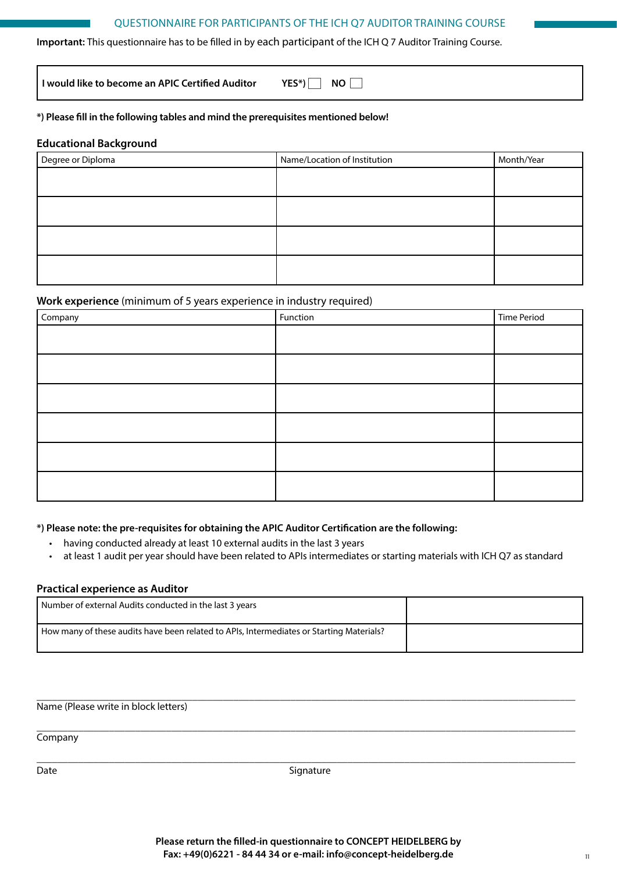#### QUESTIONNAIRE FOR PARTICIPANTS OF THE ICH Q7 AUDITOR TRAINING COURSE

**Important:** This questionnaire has to be filled in by each participant of the ICH Q 7 Auditor Training Course.

**I** would like to become an APIC Certified Auditor YES\*) NO

#### **\*) Please fill in the following tables and mind the prerequisites mentioned below!**

#### **Educational Background**

| Degree or Diploma | Name/Location of Institution | Month/Year |
|-------------------|------------------------------|------------|
|                   |                              |            |
|                   |                              |            |
|                   |                              |            |
|                   |                              |            |
|                   |                              |            |

#### **Work experience** (minimum of 5 years experience in industry required)

| Company | Function | <b>Time Period</b> |
|---------|----------|--------------------|
|         |          |                    |
|         |          |                    |
|         |          |                    |
|         |          |                    |
|         |          |                    |
|         |          |                    |

#### **\*) Please note: the pre-requisites for obtaining the APIC Auditor Certification are the following:**

- having conducted already at least 10 external audits in the last 3 years
- at least 1 audit per year should have been related to APIs intermediates or starting materials with ICH Q7 as standard

#### **Practical experience as Auditor**

| Number of external Audits conducted in the last 3 years                                  |  |
|------------------------------------------------------------------------------------------|--|
| How many of these audits have been related to APIs, Intermediates or Starting Materials? |  |

\_\_\_\_\_\_\_\_\_\_\_\_\_\_\_\_\_\_\_\_\_\_\_\_\_\_\_\_\_\_\_\_\_\_\_\_\_\_\_\_\_\_\_\_\_\_\_\_\_\_\_\_\_\_\_\_\_\_\_\_\_\_\_\_\_\_\_\_\_\_\_\_\_\_\_\_\_\_\_\_\_\_\_\_\_\_\_\_\_\_\_\_\_\_\_\_\_\_\_\_\_\_\_\_ Name (Please write in block letters)

**Company** 

\_\_\_\_\_\_\_\_\_\_\_\_\_\_\_\_\_\_\_\_\_\_\_\_\_\_\_\_\_\_\_\_\_\_\_\_\_\_\_\_\_\_\_\_\_\_\_\_\_\_\_\_\_\_\_\_\_\_\_\_\_\_\_\_\_\_\_\_\_\_\_\_\_\_\_\_\_\_\_\_\_\_\_\_\_\_\_\_\_\_\_\_\_\_\_\_\_\_\_\_\_\_\_\_ Date Signature

\_\_\_\_\_\_\_\_\_\_\_\_\_\_\_\_\_\_\_\_\_\_\_\_\_\_\_\_\_\_\_\_\_\_\_\_\_\_\_\_\_\_\_\_\_\_\_\_\_\_\_\_\_\_\_\_\_\_\_\_\_\_\_\_\_\_\_\_\_\_\_\_\_\_\_\_\_\_\_\_\_\_\_\_\_\_\_\_\_\_\_\_\_\_\_\_\_\_\_\_\_\_\_\_